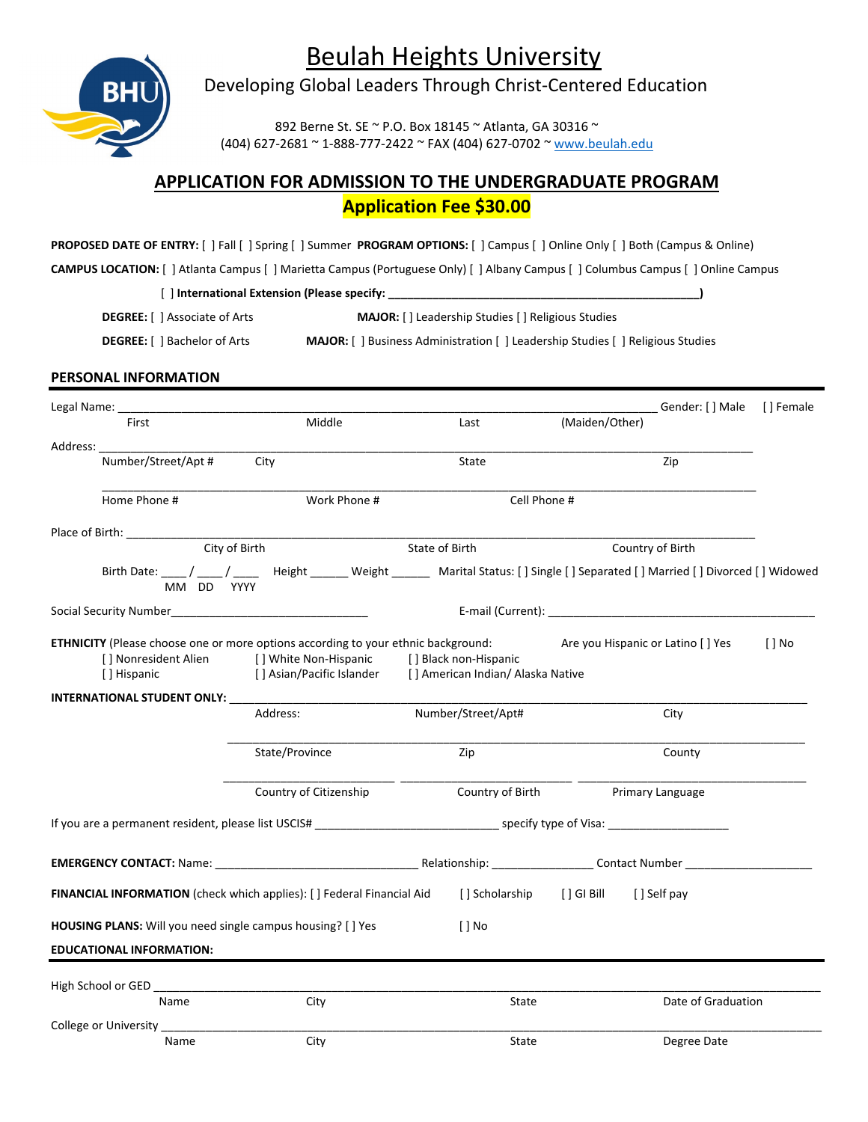Beulah Heights University



Developing Global Leaders Through Christ-Centered Education

892 Berne St. SE ~ P.O. Box 18145 ~ Atlanta, GA 30316 ~ (404) 627-2681 ~ 1-888-777-2422 ~ FAX (404) 627-0702 ~ [www.beulah.edu](http://www.beulah.edu/)

## **APPLICATION FOR ADMISSION TO THE UNDERGRADUATE PROGRAM Application Fee \$30.00**

**PROPOSED DATE OF ENTRY:** [ ] Fall [ ] Spring [ ] Summer **PROGRAM OPTIONS:** [ ] Campus [ ] Online Only [ ] Both (Campus & Online)

**CAMPUS LOCATION:** [ ] Atlanta Campus [ ] Marietta Campus (Portuguese Only) [ ] Albany Campus [ ] Columbus Campus [ ] Online Campus

[ ] **International Extension (Please specify: \_\_\_\_\_\_\_\_\_\_\_\_\_\_\_\_\_\_\_\_\_\_\_\_\_\_\_\_\_\_\_\_\_\_\_\_\_\_\_\_\_\_\_\_\_\_\_\_\_)**

**DEGREE:** [ ] Associate of Arts **MAJOR:** [ ] Leadership Studies [ ] Religious Studies

**DEGREE:** [ ] Bachelor of Arts **MAJOR:** [ ] Business Administration [ ] Leadership Studies [ ] Religious Studies

## **PERSONAL INFORMATION**

| Legal Name: __                                                                                                                  |                                                                                                                                   |                                                            |                                   | Gender: [] Male [] Female |          |
|---------------------------------------------------------------------------------------------------------------------------------|-----------------------------------------------------------------------------------------------------------------------------------|------------------------------------------------------------|-----------------------------------|---------------------------|----------|
| First                                                                                                                           | Middle                                                                                                                            | Last                                                       | (Maiden/Other)                    |                           |          |
| Address: and the set of the set of the set of the set of the set of the set of the set of the set of the set o                  |                                                                                                                                   |                                                            |                                   |                           |          |
| Number/Street/Apt #                                                                                                             | City                                                                                                                              | State                                                      |                                   | Zip                       |          |
| Home Phone #                                                                                                                    | Work Phone #                                                                                                                      | Cell Phone #                                               |                                   |                           |          |
| Place of Birth: 1990                                                                                                            |                                                                                                                                   |                                                            |                                   |                           |          |
| City of Birth                                                                                                                   |                                                                                                                                   | State of Birth                                             |                                   | Country of Birth          |          |
| MM DD YYYY                                                                                                                      | Birth Date: ____/ ____/ ____ Height ______ Weight ______ Marital Status: [] Single [] Separated [] Married [] Divorced [] Widowed |                                                            |                                   |                           |          |
|                                                                                                                                 |                                                                                                                                   |                                                            |                                   |                           |          |
| <b>ETHNICITY</b> (Please choose one or more options according to your ethnic background:<br>[] Nonresident Alien<br>[] Hispanic | [ ] White Non-Hispanic<br>[] Asian/Pacific Islander                                                                               | [] Black non-Hispanic<br>[] American Indian/ Alaska Native | Are you Hispanic or Latino [] Yes |                           | $[ ]$ No |
| <b>INTERNATIONAL STUDENT ONLY:</b>                                                                                              |                                                                                                                                   |                                                            |                                   |                           |          |
|                                                                                                                                 | Address:                                                                                                                          | Number/Street/Apt#                                         |                                   | City                      |          |
|                                                                                                                                 | State/Province                                                                                                                    | Zip                                                        |                                   | County                    |          |
|                                                                                                                                 | Country of Citizenship                                                                                                            | Country of Birth                                           |                                   | Primary Language          |          |
|                                                                                                                                 |                                                                                                                                   |                                                            |                                   |                           |          |
|                                                                                                                                 |                                                                                                                                   |                                                            |                                   |                           |          |
| <b>FINANCIAL INFORMATION</b> (check which applies): [ ] Federal Financial Aid                                                   |                                                                                                                                   |                                                            | [ Scholarship [ G Bill [ Self pay |                           |          |
| HOUSING PLANS: Will you need single campus housing? [ ] Yes                                                                     |                                                                                                                                   | $\lceil$ No                                                |                                   |                           |          |
| <b>EDUCATIONAL INFORMATION:</b>                                                                                                 |                                                                                                                                   |                                                            |                                   |                           |          |
|                                                                                                                                 |                                                                                                                                   |                                                            |                                   |                           |          |
| Name                                                                                                                            | City                                                                                                                              | State                                                      |                                   | Date of Graduation        |          |
| College or University _____________                                                                                             |                                                                                                                                   |                                                            |                                   |                           |          |
| Name                                                                                                                            | City                                                                                                                              | State                                                      |                                   | Degree Date               |          |